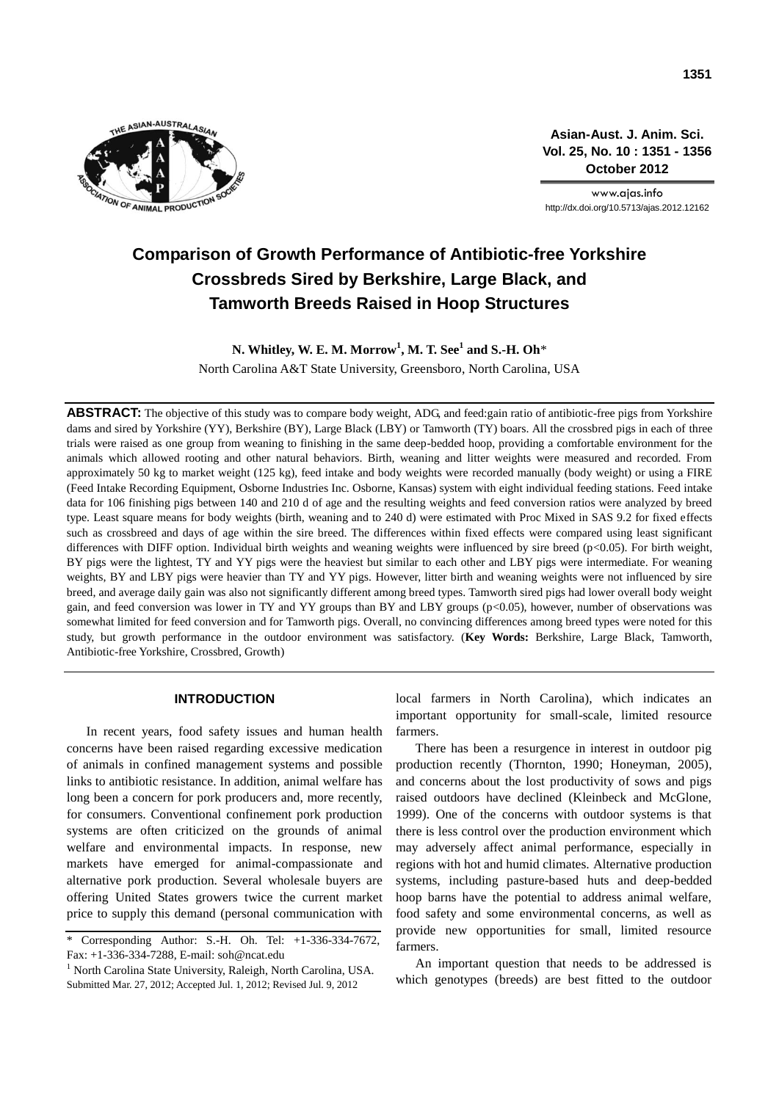

**Asian-Aust. J. Anim. Sci. Vol. 25, No. 10 : 1351 - 1356 October 2012**

www.ajas.info http://dx.doi.org/10.5713/ajas.2012.12162

# **Comparison of Growth Performance of Antibiotic-free Yorkshire Crossbreds Sired by Berkshire, Large Black, and Tamworth Breeds Raised in Hoop Structures**

**N. Whitley, W. E. M. Morrow<sup>1</sup> , M. T. See<sup>1</sup> and S.-H. Oh**\* North Carolina A&T State University, Greensboro, North Carolina, USA

**ABSTRACT:** The objective of this study was to compare body weight, ADG, and feed:gain ratio of antibiotic-free pigs from Yorkshire dams and sired by Yorkshire (YY), Berkshire (BY), Large Black (LBY) or Tamworth (TY) boars. All the crossbred pigs in each of three trials were raised as one group from weaning to finishing in the same deep-bedded hoop, providing a comfortable environment for the animals which allowed rooting and other natural behaviors. Birth, weaning and litter weights were measured and recorded. From approximately 50 kg to market weight (125 kg), feed intake and body weights were recorded manually (body weight) or using a FIRE (Feed Intake Recording Equipment, Osborne Industries Inc. Osborne, Kansas) system with eight individual feeding stations. Feed intake data for 106 finishing pigs between 140 and 210 d of age and the resulting weights and feed conversion ratios were analyzed by breed type. Least square means for body weights (birth, weaning and to 240 d) were estimated with Proc Mixed in SAS 9.2 for fixed effects such as crossbreed and days of age within the sire breed. The differences within fixed effects were compared using least significant differences with DIFF option. Individual birth weights and weaning weights were influenced by sire breed (p<0.05). For birth weight, BY pigs were the lightest, TY and YY pigs were the heaviest but similar to each other and LBY pigs were intermediate. For weaning weights, BY and LBY pigs were heavier than TY and YY pigs. However, litter birth and weaning weights were not influenced by sire breed, and average daily gain was also not significantly different among breed types. Tamworth sired pigs had lower overall body weight gain, and feed conversion was lower in TY and YY groups than BY and LBY groups (p<0.05), however, number of observations was somewhat limited for feed conversion and for Tamworth pigs. Overall, no convincing differences among breed types were noted for this study, but growth performance in the outdoor environment was satisfactory. (**Key Words:** Berkshire, Large Black, Tamworth, Antibiotic-free Yorkshire, Crossbred, Growth)

## **INTRODUCTION**

In recent years, food safety issues and human health concerns have been raised regarding excessive medication of animals in confined management systems and possible links to antibiotic resistance. In addition, animal welfare has long been a concern for pork producers and, more recently, for consumers. Conventional confinement pork production systems are often criticized on the grounds of animal welfare and environmental impacts. In response, new markets have emerged for animal-compassionate and alternative pork production. Several wholesale buyers are offering United States growers twice the current market price to supply this demand (personal communication with

local farmers in North Carolina), which indicates an important opportunity for small-scale, limited resource farmers.

There has been a resurgence in interest in outdoor pig production recently (Thornton, 1990; Honeyman, 2005), and concerns about the lost productivity of sows and pigs raised outdoors have declined (Kleinbeck and McGlone, 1999). One of the concerns with outdoor systems is that there is less control over the production environment which may adversely affect animal performance, especially in regions with hot and humid climates. Alternative production systems, including pasture-based huts and deep-bedded hoop barns have the potential to address animal welfare, food safety and some environmental concerns, as well as provide new opportunities for small, limited resource farmers.

An important question that needs to be addressed is which genotypes (breeds) are best fitted to the outdoor

<sup>\*</sup> Corresponding Author: S.-H. Oh. Tel: +1-336-334-7672, Fax: +1-336-334-7288, E-mail: soh@ncat.edu

<sup>&</sup>lt;sup>1</sup> North Carolina State University, Raleigh, North Carolina, USA. Submitted Mar. 27, 2012; Accepted Jul. 1, 2012; Revised Jul. 9, 2012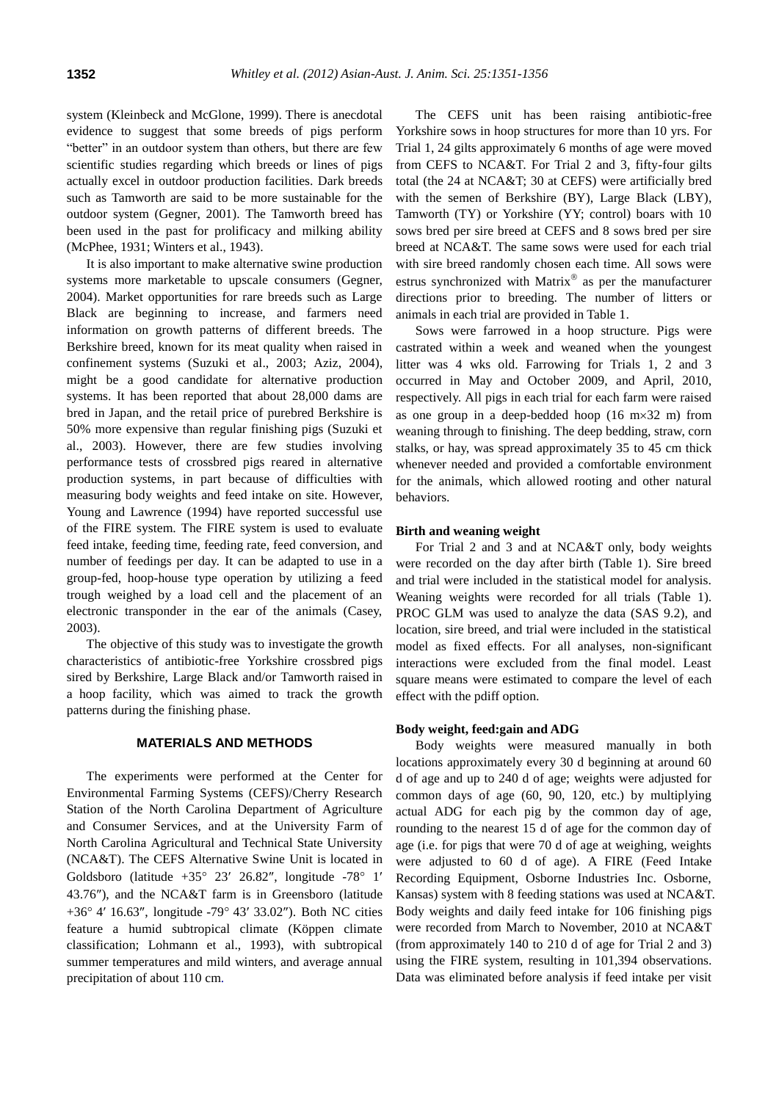system (Kleinbeck and McGlone, 1999). There is anecdotal evidence to suggest that some breeds of pigs perform "better" in an outdoor system than others, but there are few scientific studies regarding which breeds or lines of pigs actually excel in outdoor production facilities. Dark breeds such as Tamworth are said to be more sustainable for the outdoor system (Gegner, 2001). The Tamworth breed has been used in the past for prolificacy and milking ability (McPhee, 1931; Winters et al., 1943).

It is also important to make alternative swine production systems more marketable to upscale consumers (Gegner, 2004). Market opportunities for rare breeds such as Large Black are beginning to increase, and farmers need information on growth patterns of different breeds. The Berkshire breed, known for its meat quality when raised in confinement systems (Suzuki et al., 2003; Aziz, 2004), might be a good candidate for alternative production systems. It has been reported that about 28,000 dams are bred in Japan, and the retail price of purebred Berkshire is 50% more expensive than regular finishing pigs (Suzuki et al., 2003). However, there are few studies involving performance tests of crossbred pigs reared in alternative production systems, in part because of difficulties with measuring body weights and feed intake on site. However, Young and Lawrence (1994) have reported successful use of the FIRE system. The FIRE system is used to evaluate feed intake, feeding time, feeding rate, feed conversion, and number of feedings per day. It can be adapted to use in a group-fed, hoop-house type operation by utilizing a feed trough weighed by a load cell and the placement of an electronic transponder in the ear of the animals (Casey, 2003).

The objective of this study was to investigate the growth characteristics of antibiotic-free Yorkshire crossbred pigs sired by Berkshire, Large Black and/or Tamworth raised in a hoop facility, which was aimed to track the growth patterns during the finishing phase.

### **MATERIALS AND METHODS**

The experiments were performed at the Center for Environmental Farming Systems (CEFS)/Cherry Research Station of the North Carolina Department of Agriculture and Consumer Services, and at the University Farm of North Carolina Agricultural and Technical State University (NCA&T). The CEFS Alternative Swine Unit is located in Goldsboro (latitude  $+35^{\circ}$  23' 26.82", longitude -78° 1' 43.76), and the NCA&T farm is in Greensboro (latitude +36 $^{\circ}$  4' 16.63", [longitude](http://maps.google.com/maps?rlz=1T4GZAZ_enUS424US424&q=36.070123,-79.723095&um=1&ie=UTF-8&hq=&hnear=0x8853221a6225386d:0x2096d889c3e55c1d,%2B36%C2%B0+4) -79 $^{\circ}$  43' 33.02"). Both NC cities feature a humid subtropical climate (Köppen climate classification; Lohmann et al., 1993), with subtropical summer temperatures and mild winters, and average annual precipitation of about 110 cm.

The CEFS unit has been raising antibiotic-free Yorkshire sows in hoop structures for more than 10 yrs. For Trial 1, 24 gilts approximately 6 months of age were moved from CEFS to NCA&T. For Trial 2 and 3, fifty-four gilts total (the 24 at NCA&T; 30 at CEFS) were artificially bred with the semen of Berkshire (BY), Large Black (LBY), Tamworth (TY) or Yorkshire (YY; control) boars with 10 sows bred per sire breed at CEFS and 8 sows bred per sire breed at NCA&T. The same sows were used for each trial with sire breed randomly chosen each time. All sows were estrus synchronized with Matrix® as per the manufacturer directions prior to breeding. The number of litters or animals in each trial are provided in Table 1.

Sows were farrowed in a hoop structure. Pigs were castrated within a week and weaned when the youngest litter was 4 wks old. Farrowing for Trials 1, 2 and 3 occurred in May and October 2009, and April, 2010, respectively. All pigs in each trial for each farm were raised as one group in a deep-bedded hoop  $(16 \text{ m} \times 32 \text{ m})$  from weaning through to finishing. The deep bedding, straw, corn stalks, or hay, was spread approximately 35 to 45 cm thick whenever needed and provided a comfortable environment for the animals, which allowed rooting and other natural behaviors.

#### **Birth and weaning weight**

For Trial 2 and 3 and at NCA&T only, body weights were recorded on the day after birth (Table 1). Sire breed and trial were included in the statistical model for analysis. Weaning weights were recorded for all trials (Table 1). PROC GLM was used to analyze the data (SAS 9.2), and location, sire breed, and trial were included in the statistical model as fixed effects. For all analyses, non-significant interactions were excluded from the final model. Least square means were estimated to compare the level of each effect with the pdiff option.

#### **Body weight, feed:gain and ADG**

Body weights were measured manually in both locations approximately every 30 d beginning at around 60 d of age and up to 240 d of age; weights were adjusted for common days of age (60, 90, 120, etc.) by multiplying actual ADG for each pig by the common day of age, rounding to the nearest 15 d of age for the common day of age (i.e. for pigs that were 70 d of age at weighing, weights were adjusted to 60 d of age). A FIRE (Feed Intake Recording Equipment, Osborne Industries Inc. Osborne, Kansas) system with 8 feeding stations was used at NCA&T. Body weights and daily feed intake for 106 finishing pigs were recorded from March to November, 2010 at NCA&T (from approximately 140 to 210 d of age for Trial 2 and 3) using the FIRE system, resulting in 101,394 observations. Data was eliminated before analysis if feed intake per visit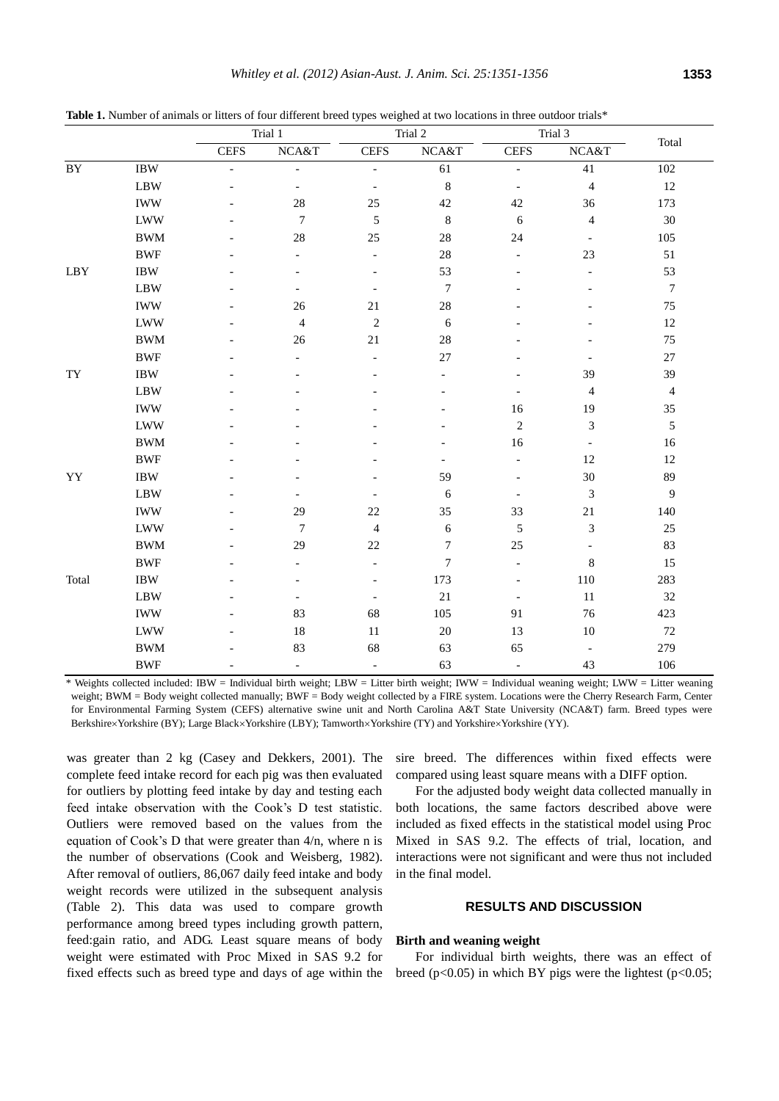Table 1. Number of animals or litters of four different breed types weighed at two locations in three outdoor trials\*

|                 |            |                          | Trial 1                  | Trial 2                  |                  |                          | Trial 3                  |                  |
|-----------------|------------|--------------------------|--------------------------|--------------------------|------------------|--------------------------|--------------------------|------------------|
|                 |            | <b>CEFS</b>              | NCA&T                    | <b>CEFS</b>              | NCA&T            | <b>CEFS</b>              | NCA&T                    | Total            |
| $\overline{BY}$ | <b>IBW</b> | $\overline{\phantom{0}}$ | $\overline{\phantom{a}}$ | $\overline{\phantom{a}}$ | 61               | $\overline{\phantom{a}}$ | 41                       | 102              |
|                 | <b>LBW</b> |                          | $\overline{\phantom{a}}$ | $\overline{\phantom{a}}$ | $\,$ 8 $\,$      | $\overline{\phantom{a}}$ | $\overline{4}$           | 12               |
|                 | <b>IWW</b> |                          | 28                       | 25                       | $42\,$           | 42                       | 36                       | 173              |
|                 | <b>LWW</b> |                          | $\boldsymbol{7}$         | $\sqrt{5}$               | $\,$ 8 $\,$      | 6                        | $\overline{4}$           | 30               |
|                 | <b>BWM</b> |                          | 28                       | 25                       | 28               | 24                       | $\overline{\phantom{a}}$ | 105              |
|                 | <b>BWF</b> |                          | $\overline{a}$           | $\overline{\phantom{a}}$ | 28               | $\overline{\phantom{a}}$ | 23                       | 51               |
| LBY             | <b>IBW</b> |                          |                          |                          | 53               | $\overline{a}$           | $\overline{a}$           | 53               |
|                 | <b>LBW</b> |                          | $\overline{\phantom{a}}$ | $\overline{\phantom{a}}$ | $\boldsymbol{7}$ |                          |                          | $\boldsymbol{7}$ |
|                 | <b>IWW</b> |                          | 26                       | $21\,$                   | $28\,$           |                          |                          | 75               |
|                 | <b>LWW</b> |                          | $\overline{4}$           | $\sqrt{2}$               | 6                |                          |                          | $12\,$           |
|                 | <b>BWM</b> |                          | 26                       | 21                       | 28               |                          |                          | 75               |
|                 | <b>BWF</b> |                          |                          | $\overline{a}$           | $27\,$           |                          |                          | $27\,$           |
| TY              | <b>IBW</b> |                          |                          |                          | $\overline{a}$   |                          | 39                       | 39               |
|                 | <b>LBW</b> |                          |                          |                          |                  | $\overline{\phantom{a}}$ | $\overline{4}$           | $\overline{4}$   |
|                 | <b>IWW</b> |                          |                          |                          |                  | 16                       | 19                       | 35               |
|                 | <b>LWW</b> |                          |                          |                          |                  | $\sqrt{2}$               | 3                        | $\sqrt{5}$       |
|                 | <b>BWM</b> |                          |                          |                          |                  | 16                       |                          | 16               |
|                 | <b>BWF</b> |                          |                          |                          |                  | $\overline{a}$           | 12                       | $12\,$           |
| YY              | <b>IBW</b> |                          |                          |                          | 59               | $\overline{a}$           | $30\,$                   | 89               |
|                 | <b>LBW</b> |                          | $\overline{\phantom{0}}$ |                          | 6                | $\overline{\phantom{a}}$ | $\mathfrak{Z}$           | $\overline{9}$   |
|                 | <b>IWW</b> |                          | 29                       | $22\,$                   | 35               | 33                       | $21\,$                   | 140              |
|                 | <b>LWW</b> |                          | $\tau$                   | $\overline{4}$           | $\sqrt{6}$       | $\sqrt{5}$               | 3                        | 25               |
|                 | <b>BWM</b> |                          | 29                       | 22                       | $\boldsymbol{7}$ | 25                       | $\overline{a}$           | 83               |
|                 | <b>BWF</b> |                          |                          | $\overline{a}$           | 7                | $\blacksquare$           | $\,$ 8 $\,$              | 15               |
| Total           | $\rm IBW$  |                          |                          |                          | 173              | $\overline{a}$           | 110                      | 283              |
|                 | <b>LBW</b> |                          | $\overline{\phantom{a}}$ | $\overline{\phantom{a}}$ | $21\,$           | $\overline{\phantom{a}}$ | 11                       | 32               |
|                 | <b>IWW</b> |                          | 83                       | 68                       | 105              | 91                       | 76                       | 423              |
|                 | <b>LWW</b> |                          | 18                       | $11\,$                   | $20\,$           | 13                       | $10\,$                   | $72\,$           |
|                 | <b>BWM</b> |                          | 83                       | 68                       | 63               | 65                       | $\overline{\phantom{a}}$ | 279              |
|                 | <b>BWF</b> |                          | $\overline{\phantom{a}}$ | $\blacksquare$           | 63               | $\overline{\phantom{a}}$ | 43                       | 106              |

\* Weights collected included: IBW = Individual birth weight; LBW = Litter birth weight; IWW = Individual weaning weight; LWW = Litter weaning weight; BWM = Body weight collected manually; BWF = Body weight collected by a FIRE system. Locations were the Cherry Research Farm, Center for Environmental Farming System (CEFS) alternative swine unit and North Carolina A&T State University (NCA&T) farm. Breed types were BerkshirexYorkshire (BY); Large Black×Yorkshire (LBY); Tamworth×Yorkshire (TY) and Yorkshire×Yorkshire (YY).

was greater than 2 kg (Casey and Dekkers, 2001). The complete feed intake record for each pig was then evaluated for outliers by plotting feed intake by day and testing each feed intake observation with the Cook's D test statistic. Outliers were removed based on the values from the equation of Cook's D that were greater than 4/n, where n is the number of observations (Cook and Weisberg, 1982). After removal of outliers, 86,067 daily feed intake and body weight records were utilized in the subsequent analysis (Table 2). This data was used to compare growth performance among breed types including growth pattern, feed:gain ratio, and ADG. Least square means of body weight were estimated with Proc Mixed in SAS 9.2 for fixed effects such as breed type and days of age within the sire breed. The differences within fixed effects were compared using least square means with a DIFF option.

For the adjusted body weight data collected manually in both locations, the same factors described above were included as fixed effects in the statistical model using Proc Mixed in SAS 9.2. The effects of trial, location, and interactions were not significant and were thus not included in the final model.

# **RESULTS AND DISCUSSION**

## **Birth and weaning weight**

For individual birth weights, there was an effect of breed ( $p<0.05$ ) in which BY pigs were the lightest ( $p<0.05$ ;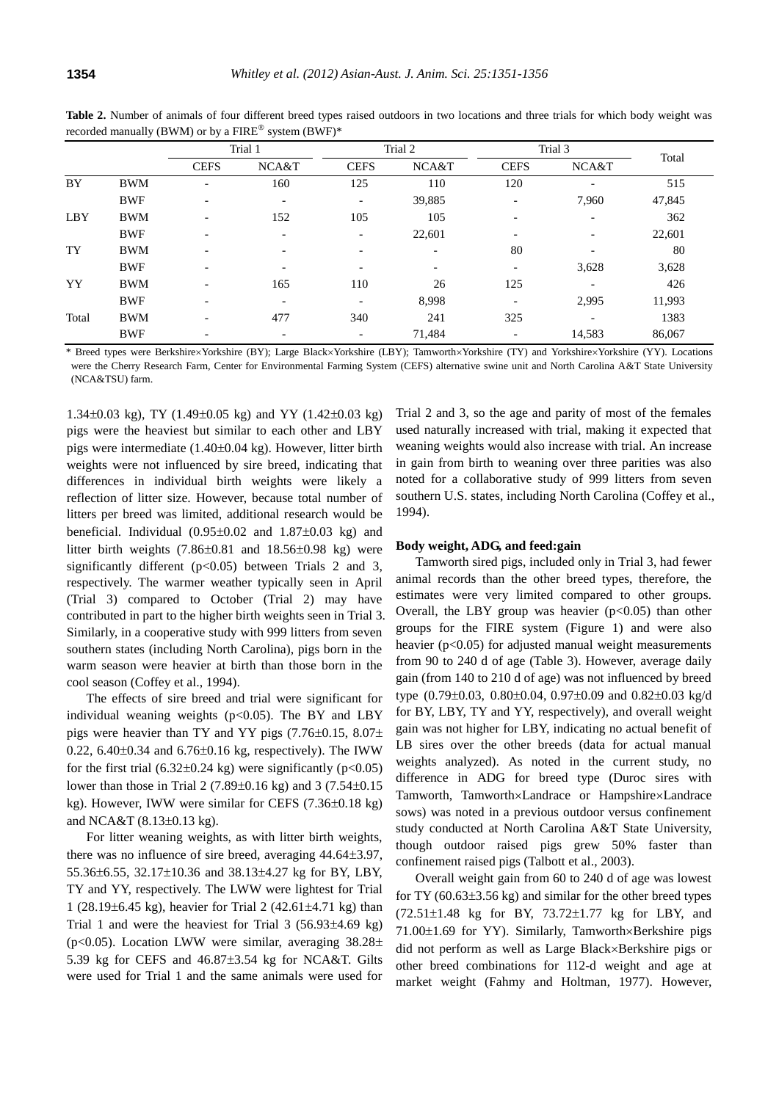|       |            |                          | Trial 2<br>Trial 1       |                          |                          | Trial 3                  |                          |        |
|-------|------------|--------------------------|--------------------------|--------------------------|--------------------------|--------------------------|--------------------------|--------|
|       |            | <b>CEFS</b>              | NCA&T                    | <b>CEFS</b>              | NCA&T                    | <b>CEFS</b>              | NCA&T                    | Total  |
| BY    | <b>BWM</b> | ۰                        | 160                      | 125                      | 110                      | 120                      | $\overline{\phantom{a}}$ | 515    |
|       | <b>BWF</b> | $\overline{\phantom{a}}$ | $\overline{\phantom{a}}$ | $\overline{\phantom{a}}$ | 39,885                   | $\overline{\phantom{0}}$ | 7,960                    | 47,845 |
| LBY   | <b>BWM</b> | $\overline{\phantom{a}}$ | 152                      | 105                      | 105                      |                          |                          | 362    |
|       | <b>BWF</b> | $\overline{\phantom{a}}$ | $\overline{\phantom{0}}$ | $\overline{\phantom{a}}$ | 22,601                   |                          | $\overline{\phantom{a}}$ | 22,601 |
| TY    | <b>BWM</b> | $\overline{\phantom{a}}$ | $\overline{\phantom{0}}$ | $\overline{\phantom{a}}$ | $\overline{\phantom{a}}$ | 80                       | $\overline{\phantom{a}}$ | 80     |
|       | <b>BWF</b> | $\overline{\phantom{a}}$ | $\overline{\phantom{0}}$ | $\overline{\phantom{a}}$ | $\overline{\phantom{a}}$ | -                        | 3,628                    | 3,628  |
| YY    | <b>BWM</b> | $\overline{\phantom{a}}$ | 165                      | 110                      | 26                       | 125                      | $\overline{\phantom{a}}$ | 426    |
|       | <b>BWF</b> | $\overline{\phantom{a}}$ | $\overline{\phantom{a}}$ | $\overline{\phantom{a}}$ | 8,998                    | $\overline{\phantom{a}}$ | 2,995                    | 11,993 |
| Total | <b>BWM</b> | $\overline{\phantom{0}}$ | 477                      | 340                      | 241                      | 325                      | $\overline{\phantom{a}}$ | 1383   |
|       | <b>BWF</b> | $\overline{\phantom{a}}$ | $\overline{\phantom{0}}$ | $\overline{\phantom{a}}$ | 71,484                   | $\overline{\phantom{a}}$ | 14,583                   | 86,067 |

**Table 2.** Number of animals of four different breed types raised outdoors in two locations and three trials for which body weight was recorded manually (BWM) or by a  $\mathrm{FIRE}^{\circledast}$  system (BWF)\*

\* Breed types were Berkshire×Yorkshire (BY); Large Black×Yorkshire (LBY); Tamworth×Yorkshire (TY) and Yorkshire×Yorkshire (YY). Locations were the Cherry Research Farm, Center for Environmental Farming System (CEFS) alternative swine unit and North Carolina A&T State University (NCA&TSU) farm.

 $1.34\pm0.03$  kg), TY (1.49 $\pm0.05$  kg) and YY (1.42 $\pm0.03$  kg) pigs were the heaviest but similar to each other and LBY pigs were intermediate  $(1.40\pm0.04 \text{ kg})$ . However, litter birth weights were not influenced by sire breed, indicating that differences in individual birth weights were likely a reflection of litter size. However, because total number of litters per breed was limited, additional research would be beneficial. Individual  $(0.95\pm0.02$  and  $1.87\pm0.03$  kg) and litter birth weights  $(7.86\pm0.81$  and  $18.56\pm0.98$  kg) were significantly different  $(p<0.05)$  between Trials 2 and 3, respectively. The warmer weather typically seen in April (Trial 3) compared to October (Trial 2) may have contributed in part to the higher birth weights seen in Trial 3. Similarly, in a cooperative study with 999 litters from seven southern states (including North Carolina), pigs born in the warm season were heavier at birth than those born in the cool season (Coffey et al., 1994).

The effects of sire breed and trial were significant for individual weaning weights ( $p<0.05$ ). The BY and LBY pigs were heavier than TY and YY pigs  $(7.76\pm0.15, 8.07\pm$ 0.22,  $6.40\pm0.34$  and  $6.76\pm0.16$  kg, respectively). The IWW for the first trial  $(6.32\pm0.24 \text{ kg})$  were significantly  $(p<0.05)$ lower than those in Trial 2 (7.89 $\pm$ 0.16 kg) and 3 (7.54 $\pm$ 0.15 kg). However, IWW were similar for CEFS  $(7.36\pm0.18 \text{ kg})$ and NCA&T  $(8.13\pm0.13 \text{ kg})$ .

For litter weaning weights, as with litter birth weights, there was no influence of sire breed, averaging  $44.64\pm3.97$ , 55.36±6.55, 32.17±10.36 and 38.13±4.27 kg for BY, LBY, TY and YY, respectively. The LWW were lightest for Trial 1 (28.19 $\pm$ 6.45 kg), heavier for Trial 2 (42.61 $\pm$ 4.71 kg) than Trial 1 and were the heaviest for Trial 3  $(56.93\pm4.69 \text{ kg})$ (p<0.05). Location LWW were similar, averaging  $38.28\pm$ 5.39 kg for CEFS and  $46.87\pm3.54$  kg for NCA&T. Gilts were used for Trial 1 and the same animals were used for Trial 2 and 3, so the age and parity of most of the females used naturally increased with trial, making it expected that weaning weights would also increase with trial. An increase in gain from birth to weaning over three parities was also noted for a collaborative study of 999 litters from seven southern U.S. states, including North Carolina (Coffey et al., 1994).

#### **Body weight, ADG, and feed:gain**

Tamworth sired pigs, included only in Trial 3, had fewer animal records than the other breed types, therefore, the estimates were very limited compared to other groups. Overall, the LBY group was heavier  $(p<0.05)$  than other groups for the FIRE system (Figure 1) and were also heavier ( $p<0.05$ ) for adjusted manual weight measurements from 90 to 240 d of age (Table 3). However, average daily gain (from 140 to 210 d of age) was not influenced by breed type  $(0.79\pm0.03, 0.80\pm0.04, 0.97\pm0.09$  and  $0.82\pm0.03$  kg/d for BY, LBY, TY and YY, respectively), and overall weight gain was not higher for LBY, indicating no actual benefit of LB sires over the other breeds (data for actual manual weights analyzed). As noted in the current study, no difference in ADG for breed type (Duroc sires with Tamworth, Tamworth×Landrace or Hampshire×Landrace sows) was noted in a previous outdoor versus confinement study conducted at North Carolina A&T State University, though outdoor raised pigs grew 50% faster than confinement raised pigs (Talbott et al., 2003).

Overall weight gain from 60 to 240 d of age was lowest for TY  $(60.63\pm3.56 \text{ kg})$  and similar for the other breed types  $(72.51 \pm 1.48)$  kg for BY,  $73.72 \pm 1.77$  kg for LBY, and  $71.00\pm1.69$  for YY). Similarly, Tamworth×Berkshire pigs did not perform as well as Large Black×Berkshire pigs or other breed combinations for 112-d weight and age at market weight (Fahmy and Holtman, 1977). However,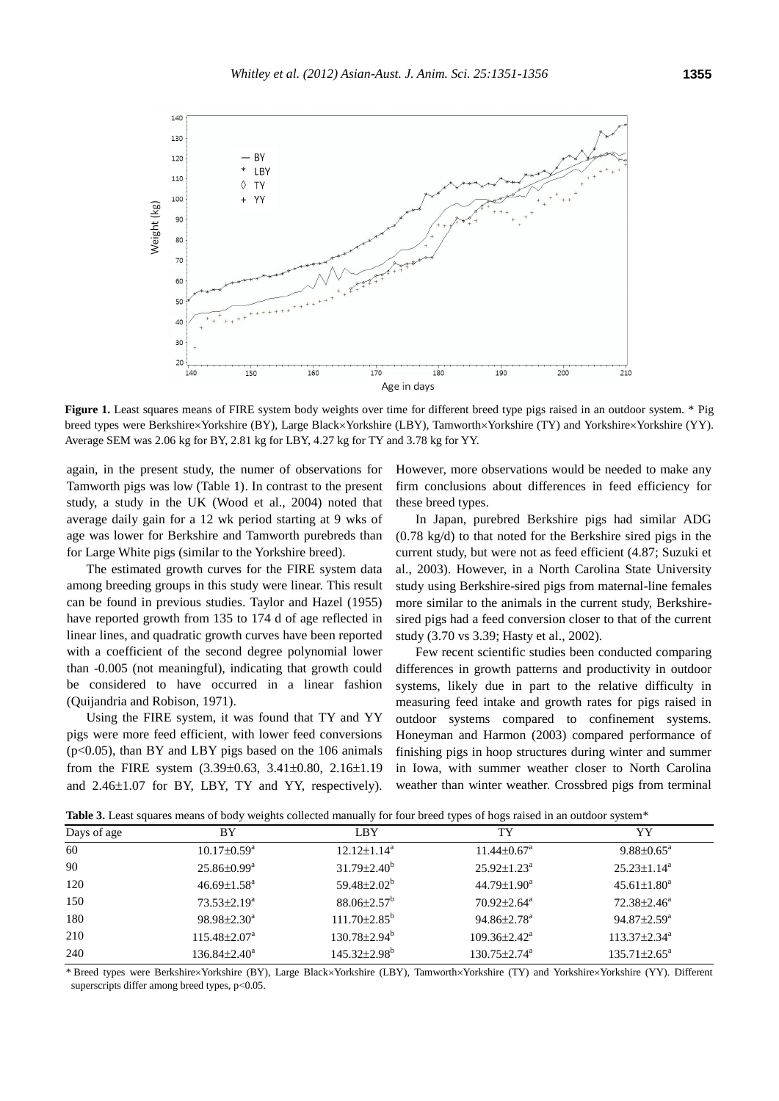

**Figure 1.** Least squares means of FIRE system body weights over time for different breed type pigs raised in an outdoor system. \* Pig breed types were Berkshire×Yorkshire (BY), Large Black×Yorkshire (LBY), Tamworth×Yorkshire (TY) and Yorkshire×Yorkshire (YY). Average SEM was 2.06 kg for BY, 2.81 kg for LBY, 4.27 kg for TY and 3.78 kg for YY.

again, in the present study, the numer of observations for Tamworth pigs was low (Table 1). In contrast to the present study, a study in the UK (Wood et al., 2004) noted that average daily gain for a 12 wk period starting at 9 wks of age was lower for Berkshire and Tamworth purebreds than for Large White pigs (similar to the Yorkshire breed).

The estimated growth curves for the FIRE system data among breeding groups in this study were linear. This result can be found in previous studies. Taylor and Hazel (1955) have reported growth from 135 to 174 d of age reflected in linear lines, and quadratic growth curves have been reported with a coefficient of the second degree polynomial lower than -0.005 (not meaningful), indicating that growth could be considered to have occurred in a linear fashion (Quijandria and Robison, 1971).

Using the FIRE system, it was found that TY and YY pigs were more feed efficient, with lower feed conversions (p<0.05), than BY and LBY pigs based on the 106 animals from the FIRE system  $(3.39\pm0.63, 3.41\pm0.80, 2.16\pm1.19)$ and  $2.46\pm1.07$  for BY, LBY, TY and YY, respectively).

However, more observations would be needed to make any firm conclusions about differences in feed efficiency for these breed types.

In Japan, purebred Berkshire pigs had similar ADG (0.78 kg/d) to that noted for the Berkshire sired pigs in the current study, but were not as feed efficient (4.87; Suzuki et al., 2003). However, in a North Carolina State University study using Berkshire-sired pigs from maternal-line females more similar to the animals in the current study, Berkshiresired pigs had a feed conversion closer to that of the current study (3.70 vs 3.39; Hasty et al., 2002).

Few recent scientific studies been conducted comparing differences in growth patterns and productivity in outdoor systems, likely due in part to the relative difficulty in measuring feed intake and growth rates for pigs raised in outdoor systems compared to confinement systems. Honeyman and Harmon (2003) compared performance of finishing pigs in hoop structures during winter and summer in Iowa, with summer weather closer to North Carolina weather than winter weather. Crossbred pigs from terminal

| Days of age | BY                             | LBY                            | TY                             | YY                             |
|-------------|--------------------------------|--------------------------------|--------------------------------|--------------------------------|
| 60          | $10.17 \pm 0.59^{\mathrm{a}}$  | $12.12 \pm 1.14^a$             | $11.44 \pm 0.67$ <sup>a</sup>  | $9.88 \pm 0.65^{\circ}$        |
| 90          | $25.86 \pm 0.99^{\mathrm{a}}$  | $31.79 \pm 2.40^b$             | $25.92 \pm 1.23^a$             | $25.23 \pm 1.14^a$             |
| 120         | $46.69 \pm 1.58^{\text{a}}$    | 59.48 $\pm$ 2.02 <sup>b</sup>  | $44.79 \pm 1.90^a$             | $45.61 \pm 1.80^a$             |
| 150         | $73.53 \pm 2.19^a$             | $88.06 \pm 2.57^{\rm b}$       | $70.92 \pm 2.64$ <sup>a</sup>  | $72.38 \pm 2.46^a$             |
| 180         | $98.98 \pm 2.30^a$             | $111.70 \pm 2.85^{\circ}$      | $94.86 \pm 2.78^a$             | $94.87 \pm 2.59^{\mathrm{a}}$  |
| 210         | $115.48 \pm 2.07^{\mathrm{a}}$ | $130.78 \pm 2.94^{\rm b}$      | $109.36 \pm 2.42^{\text{a}}$   | $113.37 \pm 2.34$ <sup>a</sup> |
| 240         | $136.84 \pm 2.40^a$            | $145.32 \pm 2.98$ <sup>b</sup> | $130.75 \pm 2.74$ <sup>a</sup> | $135.71 \pm 2.65^{\circ}$      |

Table 3. Least squares means of body weights collected manually for four breed types of hogs raised in an outdoor system\*

\* Breed types were Berkshire×Yorkshire (BY), Large Black×Yorkshire (LBY), Tamworth×Yorkshire (TY) and Yorkshire×Yorkshire (YY). Different superscripts differ among breed types, p<0.05.